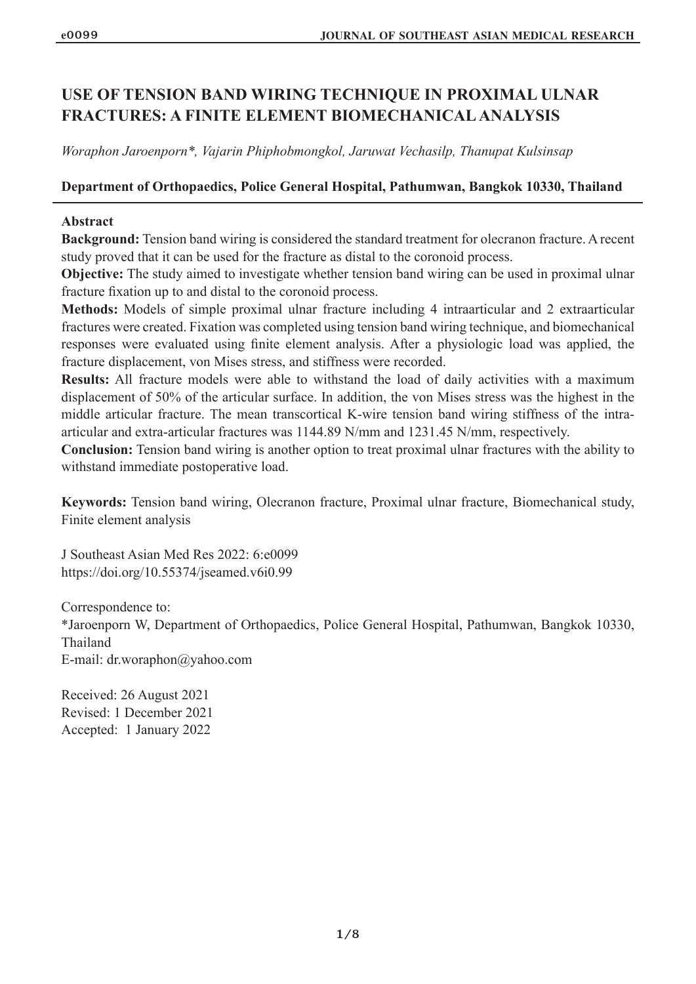# **USE OF TENSION BAND WIRING TECHNIQUE IN PROXIMAL ULNAR FRACTURES: A FINITE ELEMENT BIOMECHANICAL ANALYSIS**

*Woraphon Jaroenporn\*, Vajarin Phiphobmongkol, Jaruwat Vechasilp, Thanupat Kulsinsap* 

## **Department of Orthopaedics, Police General Hospital, Pathumwan, Bangkok 10330, Thailand**

# **Abstract**

**Background:** Tension band wiring is considered the standard treatment for olecranon fracture. A recent study proved that it can be used for the fracture as distal to the coronoid process.

**Objective:** The study aimed to investigate whether tension band wiring can be used in proximal ulnar fracture fixation up to and distal to the coronoid process.

**Methods:** Models of simple proximal ulnar fracture including 4 intraarticular and 2 extraarticular fractures were created. Fixation was completed using tension band wiring technique, and biomechanical responses were evaluated using finite element analysis. After a physiologic load was applied, the fracture displacement, von Mises stress, and stiffness were recorded.

**Results:** All fracture models were able to withstand the load of daily activities with a maximum displacement of 50% of the articular surface. In addition, the von Mises stress was the highest in the middle articular fracture. The mean transcortical K-wire tension band wiring stiffness of the intraarticular and extra-articular fractures was 1144.89 N/mm and 1231.45 N/mm, respectively.

**Conclusion:** Tension band wiring is another option to treat proximal ulnar fractures with the ability to withstand immediate postoperative load.

**Keywords:** Tension band wiring, Olecranon fracture, Proximal ulnar fracture, Biomechanical study, Finite element analysis

J Southeast Asian Med Res 2022: 6:e0099 https://doi.org/10.55374/jseamed.v6i0.99

Correspondence to: \*Jaroenporn W, Department of Orthopaedics, Police General Hospital, Pathumwan, Bangkok 10330, Thailand E-mail: dr.woraphon@yahoo.com

Received: 26 August 2021 Revised: 1 December 2021 Accepted: 1 January 2022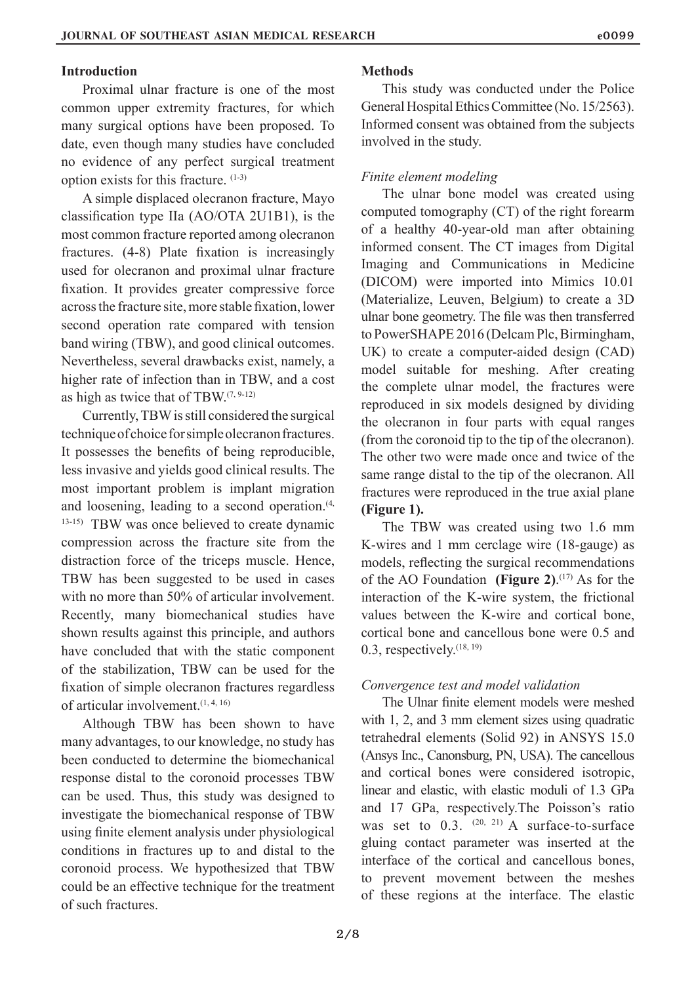## **Introduction**

Proximal ulnar fracture is one of the most common upper extremity fractures, for which many surgical options have been proposed. To date, even though many studies have concluded no evidence of any perfect surgical treatment option exists for this fracture. (1-3)

A simple displaced olecranon fracture, Mayo classification type IIa (AO/OTA 2U1B1), is the most common fracture reported among olecranon fractures. (4-8) Plate fixation is increasingly used for olecranon and proximal ulnar fracture fixation. It provides greater compressive force across the fracture site, more stable fixation, lower second operation rate compared with tension band wiring (TBW), and good clinical outcomes. Nevertheless, several drawbacks exist, namely, a higher rate of infection than in TBW, and a cost as high as twice that of TBW. $(7, 9-12)$ 

Currently, TBW is still considered the surgical technique of choice for simple olecranon fractures. It possesses the benefits of being reproducible, less invasive and yields good clinical results. The most important problem is implant migration and loosening, leading to a second operation. $(4, 4)$ 13-15) TBW was once believed to create dynamic compression across the fracture site from the distraction force of the triceps muscle. Hence, TBW has been suggested to be used in cases with no more than 50% of articular involvement. Recently, many biomechanical studies have shown results against this principle, and authors have concluded that with the static component of the stabilization, TBW can be used for the fixation of simple olecranon fractures regardless of articular involvement.  $(1, 4, 16)$ 

Although TBW has been shown to have many advantages, to our knowledge, no study has been conducted to determine the biomechanical response distal to the coronoid processes TBW can be used. Thus, this study was designed to investigate the biomechanical response of TBW using finite element analysis under physiological conditions in fractures up to and distal to the coronoid process. We hypothesized that TBW could be an effective technique for the treatment of such fractures.

#### **Methods**

This study was conducted under the Police General Hospital Ethics Committee (No. 15/2563). Informed consent was obtained from the subjects involved in the study.

# *Finite element modeling*

The ulnar bone model was created using computed tomography (CT) of the right forearm of a healthy 40-year-old man after obtaining informed consent. The CT images from Digital Imaging and Communications in Medicine (DICOM) were imported into Mimics 10.01 (Materialize, Leuven, Belgium) to create a 3D ulnar bone geometry. The file was then transferred to PowerSHAPE 2016 (Delcam Plc, Birmingham, UK) to create a computer-aided design (CAD) model suitable for meshing. After creating the complete ulnar model, the fractures were reproduced in six models designed by dividing the olecranon in four parts with equal ranges (from the coronoid tip to the tip of the olecranon). The other two were made once and twice of the same range distal to the tip of the olecranon. All fractures were reproduced in the true axial plane **(Figure 1).**

The TBW was created using two 1.6 mm K-wires and 1 mm cerclage wire (18-gauge) as models, reflecting the surgical recommendations of the AO Foundation **(Figure 2)**. (17) As for the interaction of the K-wire system, the frictional values between the K-wire and cortical bone, cortical bone and cancellous bone were 0.5 and 0.3, respectively.<sup>(18, 19)</sup>

## *Convergence test and model validation*

The Ulnar finite element models were meshed with 1, 2, and 3 mm element sizes using quadratic tetrahedral elements (Solid 92) in ANSYS 15.0 (Ansys Inc., Canonsburg, PN, USA). The cancellous and cortical bones were considered isotropic, linear and elastic, with elastic moduli of 1.3 GPa and 17 GPa, respectively.The Poisson's ratio was set to  $0.3$ .  $(20, 21)$  A surface-to-surface gluing contact parameter was inserted at the interface of the cortical and cancellous bones, to prevent movement between the meshes of these regions at the interface. The elastic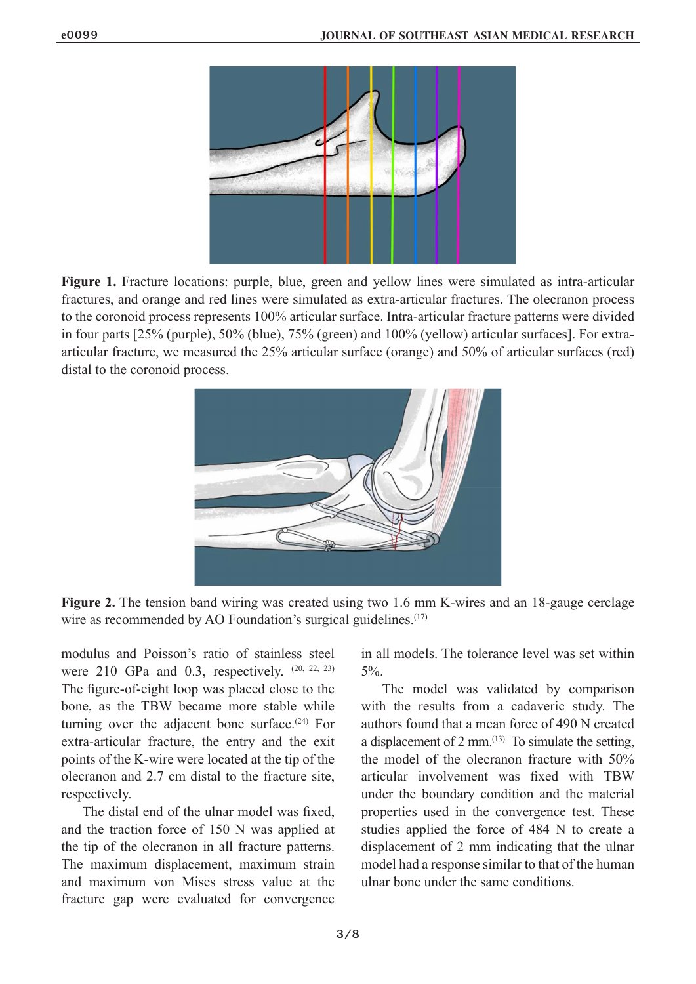

**Figure 1.** Fracture locations: purple, blue, green and yellow lines were simulated as intra-articular fractures, and orange and red lines were simulated as extra-articular fractures. The olecranon process to the coronoid process represents 100% articular surface. Intra-articular fracture patterns were divided in four parts [25% (purple), 50% (blue), 75% (green) and 100% (yellow) articular surfaces]. For extraarticular fracture, we measured the 25% articular surface (orange) and 50% of articular surfaces (red) distal to the coronoid process.



**Figure 2.** The tension band wiring was created using two 1.6 mm K-wires and an 18-gauge cerclage wire as recommended by AO Foundation's surgical guidelines.<sup>(17)</sup>

modulus and Poisson's ratio of stainless steel were 210 GPa and 0.3, respectively.  $(20, 22, 23)$ The figure-of-eight loop was placed close to the bone, as the TBW became more stable while turning over the adjacent bone surface. $(24)$  For extra-articular fracture, the entry and the exit points of the K-wire were located at the tip of the olecranon and 2.7 cm distal to the fracture site, respectively.

The distal end of the ulnar model was fixed, and the traction force of 150 N was applied at the tip of the olecranon in all fracture patterns. The maximum displacement, maximum strain and maximum von Mises stress value at the fracture gap were evaluated for convergence in all models. The tolerance level was set within  $5\%$ 

The model was validated by comparison with the results from a cadaveric study. The authors found that a mean force of 490 N created a displacement of 2 mm. $(13)$  To simulate the setting, the model of the olecranon fracture with 50% articular involvement was fixed with TBW under the boundary condition and the material properties used in the convergence test. These studies applied the force of 484 N to create a displacement of 2 mm indicating that the ulnar model had a response similar to that of the human ulnar bone under the same conditions.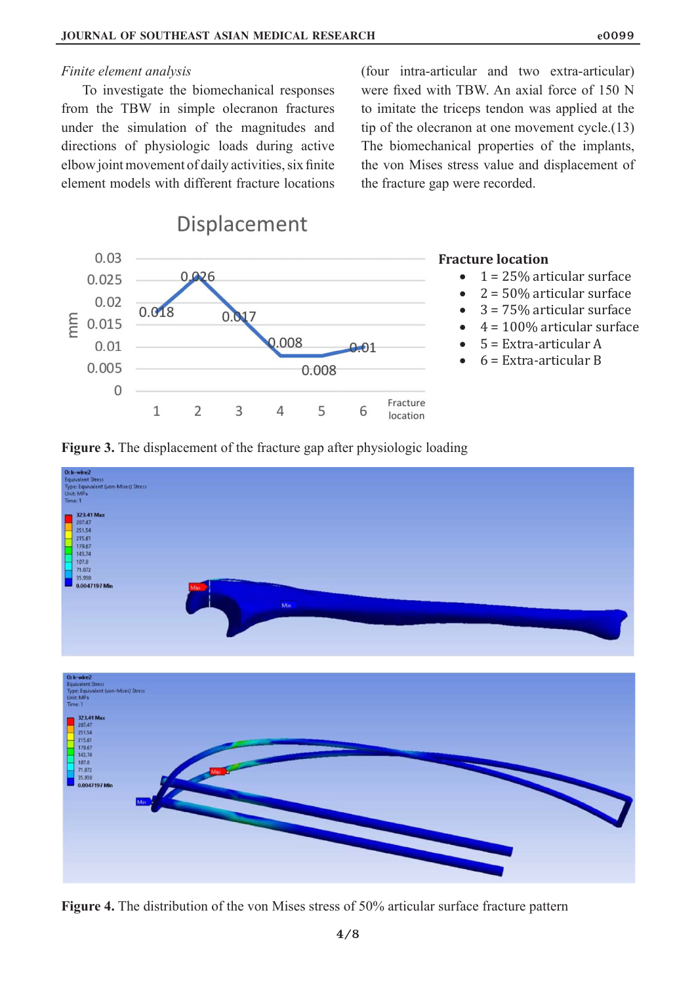#### *Finite element analysis*

To investigate the biomechanical responses from the TBW in simple olecranon fractures under the simulation of the magnitudes and directions of physiologic loads during active elbow joint movement of daily activities, six finite element models with different fracture locations (four intra-articular and two extra-articular) were fixed with TBW. An axial force of 150 N to imitate the triceps tendon was applied at the tip of the olecranon at one movement cycle.(13) The biomechanical properties of the implants, the von Mises stress value and displacement of the fracture gap were recorded.





**Figure 3.** The displacement of the fracture gap after physiologic loading

**Figure 4.** The distribution of the von Mises stress of 50% articular surface fracture pattern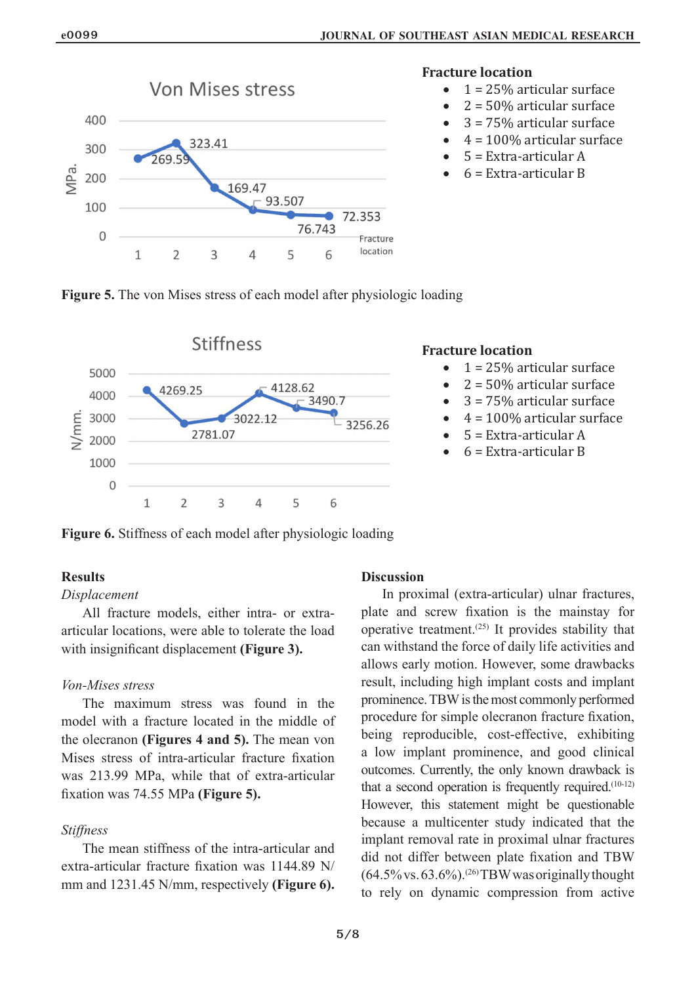

#### **Fracture location**

- $1 = 25\%$  articular surface
- $2 = 50\%$  articular surface
- $3 = 75\%$  articular surface
- $4 = 100\%$  articular surface
- $5 =$  Extra-articular A
- $6$  = Extra-articular B





## **Fracture location**

- $1 = 25\%$  articular surface
- $2 = 50\%$  articular surface
- $3 = 75\%$  articular surface
- $4 = 100\%$  articular surface
- $5$  = Extra-articular A
- $6$  = Extra-articular B

**Figure 6.** Stiffness of each model after physiologic loading

## **Results**

#### *Displacement*

All fracture models, either intra- or extraarticular locations, were able to tolerate the load with insignificant displacement **(Figure 3).**

## *Von-Mises stress*

The maximum stress was found in the model with a fracture located in the middle of the olecranon **(Figures 4 and 5).** The mean von Mises stress of intra-articular fracture fixation was 213.99 MPa, while that of extra-articular fixation was 74.55 MPa **(Figure 5).**

## *Stiffness*

The mean stiffness of the intra-articular and extra-articular fracture fixation was 1144.89 N/ mm and 1231.45 N/mm, respectively **(Figure 6).**

## **Discussion**

In proximal (extra-articular) ulnar fractures, plate and screw fixation is the mainstay for operative treatment.<sup> $(25)$ </sup> It provides stability that can withstand the force of daily life activities and allows early motion. However, some drawbacks result, including high implant costs and implant prominence. TBW is the most commonly performed procedure for simple olecranon fracture fixation, being reproducible, cost-effective, exhibiting a low implant prominence, and good clinical outcomes. Currently, the only known drawback is that a second operation is frequently required. $(10-12)$ However, this statement might be questionable because a multicenter study indicated that the implant removal rate in proximal ulnar fractures did not differ between plate fixation and TBW  $(64.5\% \text{ vs. } 63.6\%)$ .<sup>(26)</sup> TBW was originally thought to rely on dynamic compression from active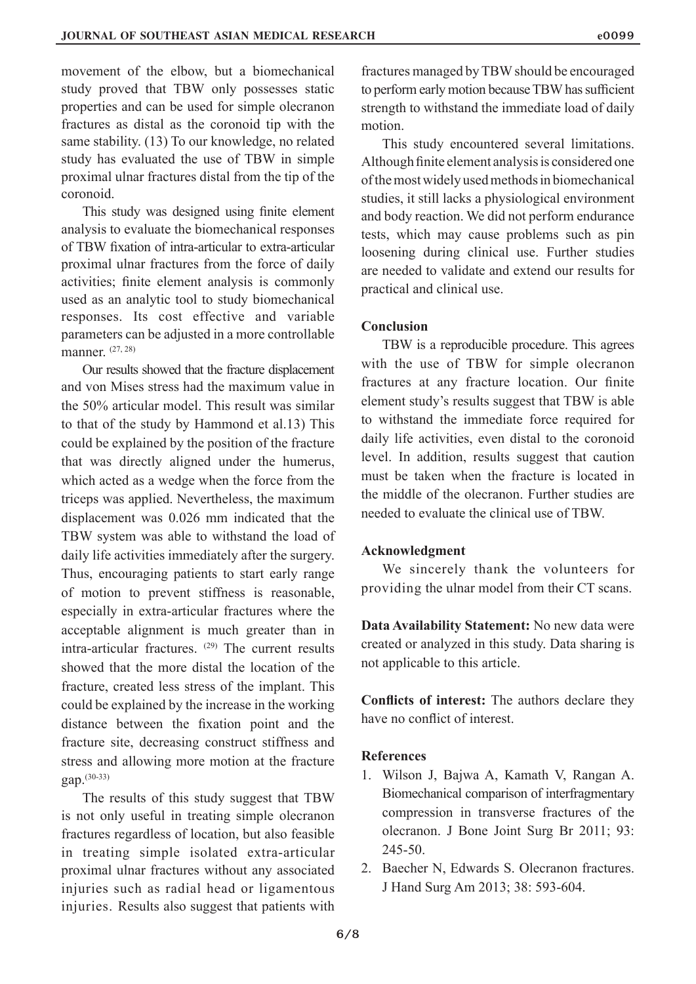movement of the elbow, but a biomechanical study proved that TBW only possesses static properties and can be used for simple olecranon fractures as distal as the coronoid tip with the same stability. (13) To our knowledge, no related study has evaluated the use of TBW in simple proximal ulnar fractures distal from the tip of the coronoid.

This study was designed using finite element analysis to evaluate the biomechanical responses of TBW fixation of intra-articular to extra-articular proximal ulnar fractures from the force of daily activities; finite element analysis is commonly used as an analytic tool to study biomechanical responses. Its cost effective and variable parameters can be adjusted in a more controllable manner $(27, 28)$ 

Our results showed that the fracture displacement and von Mises stress had the maximum value in the 50% articular model. This result was similar to that of the study by Hammond et al.13) This could be explained by the position of the fracture that was directly aligned under the humerus, which acted as a wedge when the force from the triceps was applied. Nevertheless, the maximum displacement was 0.026 mm indicated that the TBW system was able to withstand the load of daily life activities immediately after the surgery. Thus, encouraging patients to start early range of motion to prevent stiffness is reasonable, especially in extra-articular fractures where the acceptable alignment is much greater than in intra-articular fractures.  $(29)$  The current results showed that the more distal the location of the fracture, created less stress of the implant. This could be explained by the increase in the working distance between the fixation point and the fracture site, decreasing construct stiffness and stress and allowing more motion at the fracture gap.(30-33)

The results of this study suggest that TBW is not only useful in treating simple olecranon fractures regardless of location, but also feasible in treating simple isolated extra-articular proximal ulnar fractures without any associated injuries such as radial head or ligamentous injuries. Results also suggest that patients with

fractures managed by TBW should be encouraged to perform early motion because TBW has sufficient strength to withstand the immediate load of daily motion.

This study encountered several limitations. Although finite element analysis is considered one of the most widely used methods in biomechanical studies, it still lacks a physiological environment and body reaction. We did not perform endurance tests, which may cause problems such as pin loosening during clinical use. Further studies are needed to validate and extend our results for practical and clinical use.

## **Conclusion**

TBW is a reproducible procedure. This agrees with the use of TBW for simple olecranon fractures at any fracture location. Our finite element study's results suggest that TBW is able to withstand the immediate force required for daily life activities, even distal to the coronoid level. In addition, results suggest that caution must be taken when the fracture is located in the middle of the olecranon. Further studies are needed to evaluate the clinical use of TBW.

#### **Acknowledgment**

We sincerely thank the volunteers for providing the ulnar model from their CT scans.

**Data Availability Statement:** No new data were created or analyzed in this study. Data sharing is not applicable to this article.

**Conflicts of interest:** The authors declare they have no conflict of interest.

## **References**

- 1. Wilson J, Bajwa A, Kamath V, Rangan A. Biomechanical comparison of interfragmentary compression in transverse fractures of the olecranon. J Bone Joint Surg Br 2011; 93: 245-50.
- 2. Baecher N, Edwards S. Olecranon fractures. J Hand Surg Am 2013; 38: 593-604.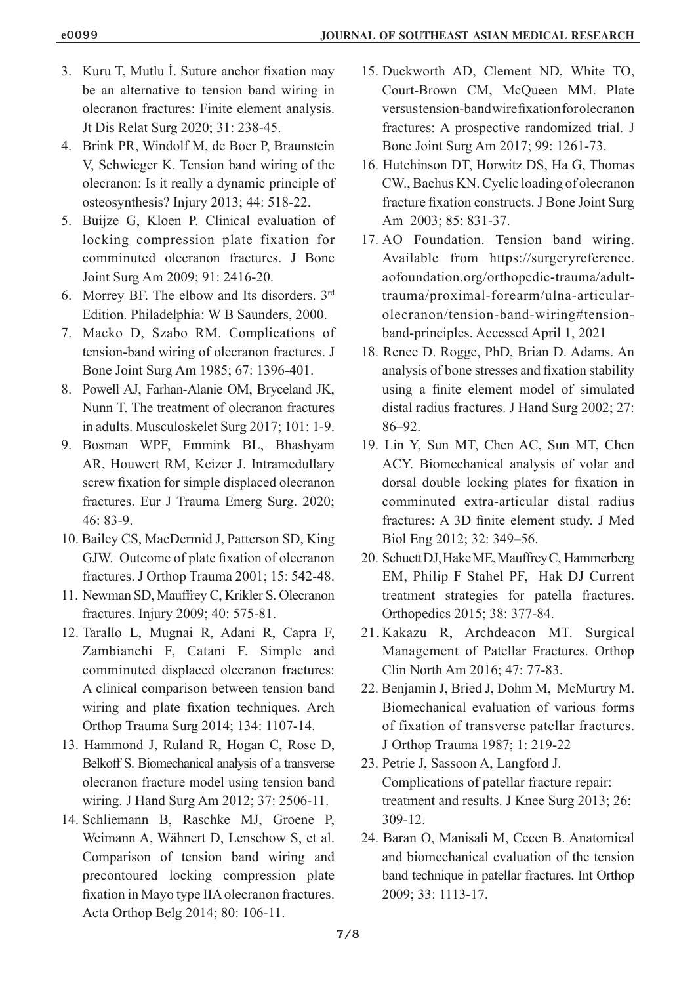- 
- 3. Kuru T, Mutlu İ. Suture anchor fixation may be an alternative to tension band wiring in olecranon fractures: Finite element analysis. Jt Dis Relat Surg 2020; 31: 238-45.
- 4. Brink PR, Windolf M, de Boer P, Braunstein V, Schwieger K. Tension band wiring of the olecranon: Is it really a dynamic principle of osteosynthesis? Injury 2013; 44: 518-22.
- 5. Buijze G, Kloen P. Clinical evaluation of locking compression plate fixation for comminuted olecranon fractures. J Bone Joint Surg Am 2009; 91: 2416-20.
- 6. Morrey BF. The elbow and Its disorders. 3rd Edition. Philadelphia: W B Saunders, 2000.
- 7. Macko D, Szabo RM. Complications of tension-band wiring of olecranon fractures. J Bone Joint Surg Am 1985; 67: 1396-401.
- 8. Powell AJ, Farhan-Alanie OM, Bryceland JK, Nunn T. The treatment of olecranon fractures in adults. Musculoskelet Surg 2017; 101: 1-9.
- 9. Bosman WPF, Emmink BL, Bhashyam AR, Houwert RM, Keizer J. Intramedullary screw fixation for simple displaced olecranon fractures. Eur J Trauma Emerg Surg. 2020; 46: 83-9.
- 10. Bailey CS, MacDermid J, Patterson SD, King GJW. Outcome of plate fixation of olecranon fractures. J Orthop Trauma 2001; 15: 542-48.
- 11. Newman SD, Mauffrey C, Krikler S. Olecranon fractures. Injury 2009; 40: 575-81.
- 12. Tarallo L, Mugnai R, Adani R, Capra F, Zambianchi F, Catani F. Simple and comminuted displaced olecranon fractures: A clinical comparison between tension band wiring and plate fixation techniques. Arch Orthop Trauma Surg 2014; 134: 1107-14.
- 13. Hammond J, Ruland R, Hogan C, Rose D, Belkoff S. Biomechanical analysis of a transverse olecranon fracture model using tension band wiring. J Hand Surg Am 2012; 37: 2506-11.
- 14. Schliemann B, Raschke MJ, Groene P, Weimann A, Wähnert D, Lenschow S, et al. Comparison of tension band wiring and precontoured locking compression plate fixation in Mayo type IIA olecranon fractures. Acta Orthop Belg 2014; 80: 106-11.
- 15. Duckworth AD, Clement ND, White TO, Court-Brown CM, McQueen MM. Plate versus tension-band wire fixation for olecranon fractures: A prospective randomized trial. J Bone Joint Surg Am 2017; 99: 1261-73.
- 16. Hutchinson DT, Horwitz DS, Ha G, Thomas CW., Bachus KN. Cyclic loading of olecranon fracture fixation constructs. J Bone Joint Surg Am 2003; 85: 831-37.
- 17. AO Foundation. Tension band wiring. Available from https://surgeryreference. aofoundation.org/orthopedic-trauma/adulttrauma/proximal-forearm/ulna-articularolecranon/tension-band-wiring#tensionband-principles. Accessed April 1, 2021
- 18. Renee D. Rogge, PhD, Brian D. Adams. An analysis of bone stresses and fixation stability using a finite element model of simulated distal radius fractures. J Hand Surg 2002; 27: 86–92.
- 19. Lin Y, Sun MT, Chen AC, Sun MT, Chen ACY. Biomechanical analysis of volar and dorsal double locking plates for fixation in comminuted extra-articular distal radius fractures: A 3D finite element study. J Med Biol Eng 2012; 32: 349–56.
- 20. Schuett DJ, Hake ME, Mauffrey C, Hammerberg EM, Philip F Stahel PF, Hak DJ Current treatment strategies for patella fractures. Orthopedics 2015; 38: 377-84.
- 21. Kakazu R, Archdeacon MT. Surgical Management of Patellar Fractures. Orthop Clin North Am 2016; 47: 77-83.
- 22. Benjamin J, Bried J, Dohm M, McMurtry M. Biomechanical evaluation of various forms of fixation of transverse patellar fractures. J Orthop Trauma 1987; 1: 219-22
- 23. Petrie J, Sassoon A, Langford J. Complications of patellar fracture repair: treatment and results. J Knee Surg 2013; 26: 309-12.
- 24. Baran O, Manisali M, Cecen B. Anatomical and biomechanical evaluation of the tension band technique in patellar fractures. Int Orthop 2009; 33: 1113-17.